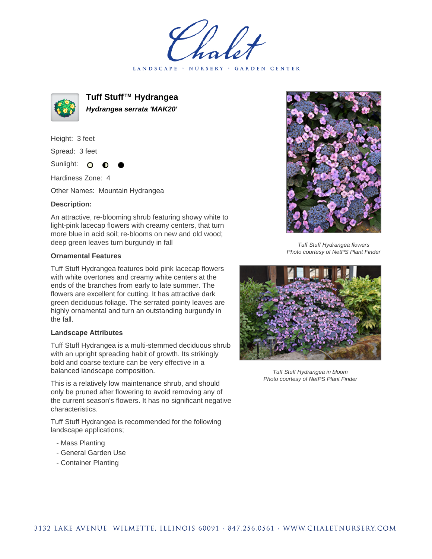LANDSCAPE · NURSERY · GARDEN CENTER



**Tuff Stuff™ Hydrangea Hydrangea serrata 'MAK20'**

Height: 3 feet Spread: 3 feet

Sunlight: O

Hardiness Zone: 4

Other Names: Mountain Hydrangea

## **Description:**

An attractive, re-blooming shrub featuring showy white to light-pink lacecap flowers with creamy centers, that turn more blue in acid soil; re-blooms on new and old wood; deep green leaves turn burgundy in fall

## **Ornamental Features**

Tuff Stuff Hydrangea features bold pink lacecap flowers with white overtones and creamy white centers at the ends of the branches from early to late summer. The flowers are excellent for cutting. It has attractive dark green deciduous foliage. The serrated pointy leaves are highly ornamental and turn an outstanding burgundy in the fall.

## **Landscape Attributes**

Tuff Stuff Hydrangea is a multi-stemmed deciduous shrub with an upright spreading habit of growth. Its strikingly bold and coarse texture can be very effective in a balanced landscape composition.

This is a relatively low maintenance shrub, and should only be pruned after flowering to avoid removing any of the current season's flowers. It has no significant negative characteristics.

Tuff Stuff Hydrangea is recommended for the following landscape applications;

- Mass Planting
- General Garden Use
- Container Planting



Tuff Stuff Hydrangea flowers Photo courtesy of NetPS Plant Finder



Tuff Stuff Hydrangea in bloom Photo courtesy of NetPS Plant Finder